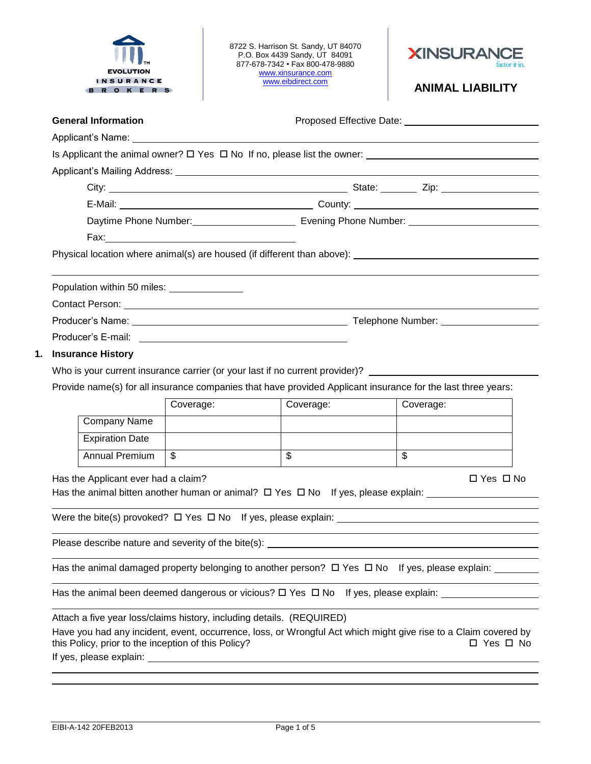| INSURANCE<br><b>BROKERS</b>                                                             |                                                     |           | 8722 S. Harrison St. Sandy, UT 84070<br>P.O. Box 4439 Sandy, UT 84091<br>877-678-7342 • Fax 800-478-9880<br>www.xinsurance.com<br>www.eibdirect.com | <b>XINSURAN</b><br><b>ANIMAL LIABILITY</b>                                                                                    |  |  |  |
|-----------------------------------------------------------------------------------------|-----------------------------------------------------|-----------|-----------------------------------------------------------------------------------------------------------------------------------------------------|-------------------------------------------------------------------------------------------------------------------------------|--|--|--|
|                                                                                         | <b>General Information</b>                          |           |                                                                                                                                                     |                                                                                                                               |  |  |  |
| Is Applicant the animal owner? $\square$ Yes $\square$ No If no, please list the owner: |                                                     |           |                                                                                                                                                     |                                                                                                                               |  |  |  |
|                                                                                         |                                                     |           |                                                                                                                                                     |                                                                                                                               |  |  |  |
|                                                                                         |                                                     |           |                                                                                                                                                     |                                                                                                                               |  |  |  |
|                                                                                         |                                                     |           |                                                                                                                                                     |                                                                                                                               |  |  |  |
|                                                                                         |                                                     |           |                                                                                                                                                     |                                                                                                                               |  |  |  |
|                                                                                         |                                                     |           |                                                                                                                                                     |                                                                                                                               |  |  |  |
|                                                                                         |                                                     |           |                                                                                                                                                     |                                                                                                                               |  |  |  |
|                                                                                         |                                                     |           |                                                                                                                                                     |                                                                                                                               |  |  |  |
|                                                                                         | Population within 50 miles: _______________         |           |                                                                                                                                                     |                                                                                                                               |  |  |  |
|                                                                                         |                                                     |           |                                                                                                                                                     |                                                                                                                               |  |  |  |
|                                                                                         |                                                     |           |                                                                                                                                                     |                                                                                                                               |  |  |  |
|                                                                                         |                                                     |           |                                                                                                                                                     |                                                                                                                               |  |  |  |
|                                                                                         | 1.                                                  |           |                                                                                                                                                     |                                                                                                                               |  |  |  |
|                                                                                         |                                                     |           |                                                                                                                                                     |                                                                                                                               |  |  |  |
|                                                                                         | <b>Insurance History</b>                            |           |                                                                                                                                                     |                                                                                                                               |  |  |  |
|                                                                                         |                                                     |           |                                                                                                                                                     | Who is your current insurance carrier (or your last if no current provider)? _________________________________                |  |  |  |
|                                                                                         |                                                     |           |                                                                                                                                                     | Provide name(s) for all insurance companies that have provided Applicant insurance for the last three years:                  |  |  |  |
|                                                                                         |                                                     | Coverage: | Coverage:                                                                                                                                           | Coverage:                                                                                                                     |  |  |  |
|                                                                                         | Company Name                                        |           |                                                                                                                                                     |                                                                                                                               |  |  |  |
|                                                                                         | <b>Expiration Date</b>                              |           |                                                                                                                                                     |                                                                                                                               |  |  |  |
|                                                                                         | <b>Annual Premium</b>                               | \$        | $\overline{\mathbf{s}}$                                                                                                                             | $\mathfrak{L}$                                                                                                                |  |  |  |
|                                                                                         | Has the Applicant ever had a claim?                 |           |                                                                                                                                                     | $\Box$ Yes $\Box$ No<br>Has the animal bitten another human or animal? $\Box$ Yes $\Box$ No If yes, please explain: $\Box$    |  |  |  |
|                                                                                         |                                                     |           |                                                                                                                                                     | Were the bite(s) provoked? $\Box$ Yes $\Box$ No If yes, please explain: $\Box$                                                |  |  |  |
|                                                                                         |                                                     |           |                                                                                                                                                     |                                                                                                                               |  |  |  |
|                                                                                         |                                                     |           |                                                                                                                                                     |                                                                                                                               |  |  |  |
|                                                                                         |                                                     |           |                                                                                                                                                     | Has the animal damaged property belonging to another person? $\Box$ Yes $\Box$ No If yes, please explain: _______             |  |  |  |
|                                                                                         |                                                     |           |                                                                                                                                                     |                                                                                                                               |  |  |  |
|                                                                                         |                                                     |           |                                                                                                                                                     |                                                                                                                               |  |  |  |
|                                                                                         | this Policy, prior to the inception of this Policy? |           | Attach a five year loss/claims history, including details. (REQUIRED)                                                                               | Have you had any incident, event, occurrence, loss, or Wrongful Act which might give rise to a Claim covered by<br>□ Yes □ No |  |  |  |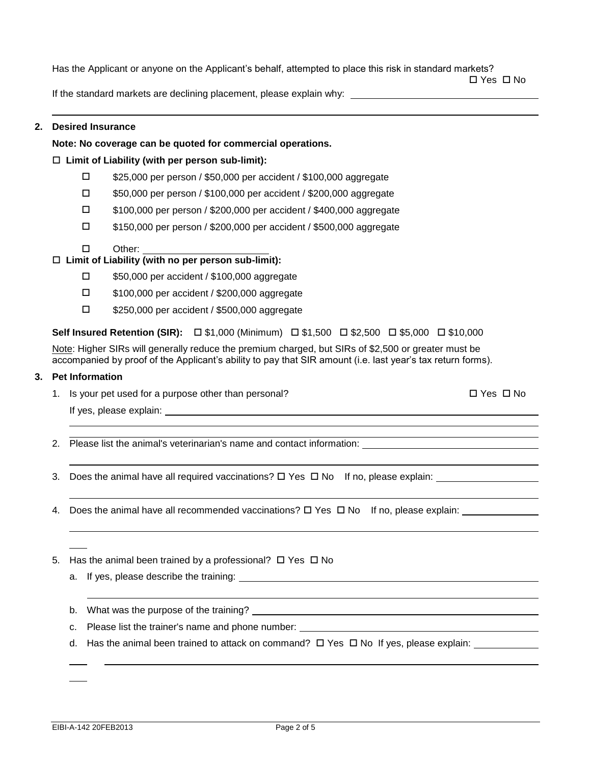Has the Applicant or anyone on the Applicant's behalf, attempted to place this risk in standard markets?

□ Yes □ No

If the standard markets are declining placement, please explain why:

## **2. Desired Insurance**

## **Note: No coverage can be quoted for commercial operations.**

## **Limit of Liability (with per person sub-limit):**

- \$25,000 per person / \$50,000 per accident / \$100,000 aggregate
- \$50,000 per person / \$100,000 per accident / \$200,000 aggregate
- \$100,000 per person / \$200,000 per accident / \$400,000 aggregate
- \$150,000 per person / \$200,000 per accident / \$500,000 aggregate
- □ Other:

# **Limit of Liability (with no per person sub-limit):**

- □ \$50,000 per accident / \$100,000 aggregate
- □ \$100,000 per accident / \$200,000 aggregate
- \$250,000 per accident / \$500,000 aggregate

## **Self Insured Retention (SIR):** □ \$1,000 (Minimum) □ \$1,500 □ \$2,500 □ \$5,000 □ \$10,000

Note: Higher SIRs will generally reduce the premium charged, but SIRs of \$2,500 or greater must be accompanied by proof of the Applicant's ability to pay that SIR amount (i.e. last year's tax return forms).

### **3. Pet Information**

1. Is your pet used for a purpose other than personal?  $\Box$  Yes  $\Box$  Yes  $\Box$  No

If yes, please explain:

- 2. Please list the animal's veterinarian's name and contact information:
- 3. Does the animal have all required vaccinations?  $\Box$  Yes  $\Box$  No If no, please explain:  $\Box$
- 4. Does the animal have all recommended vaccinations?  $\Box$  Yes  $\Box$  No If no, please explain:
- 5. Has the animal been trained by a professional?  $\Box$  Yes  $\Box$  No
	- a. If yes, please describe the training:

b. What was the purpose of the training?

- c. Please list the trainer's name and phone number:
- d. Has the animal been trained to attack on command?  $\Box$  Yes  $\Box$  No If yes, please explain: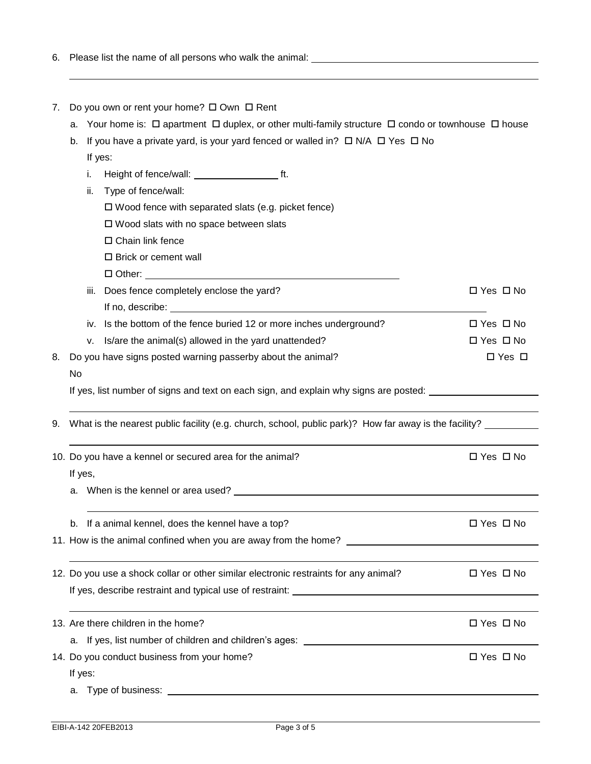| 6. |                                                                                                                                                                                                                                      |                      |  |  |  |  |
|----|--------------------------------------------------------------------------------------------------------------------------------------------------------------------------------------------------------------------------------------|----------------------|--|--|--|--|
|    |                                                                                                                                                                                                                                      |                      |  |  |  |  |
|    |                                                                                                                                                                                                                                      |                      |  |  |  |  |
| 7. | Do you own or rent your home? $\square$ Own $\square$ Rent<br>Your home is: $\Box$ apartment $\Box$ duplex, or other multi-family structure $\Box$ condo or townhouse $\Box$ house<br>а.                                             |                      |  |  |  |  |
|    |                                                                                                                                                                                                                                      |                      |  |  |  |  |
|    | b. If you have a private yard, is your yard fenced or walled in? $\square$ N/A $\square$ Yes $\square$ No                                                                                                                            |                      |  |  |  |  |
|    | If yes:                                                                                                                                                                                                                              |                      |  |  |  |  |
|    | i.                                                                                                                                                                                                                                   |                      |  |  |  |  |
|    | Type of fence/wall:                                                                                                                                                                                                                  |                      |  |  |  |  |
|    | $\Box$ Wood fence with separated slats (e.g. picket fence)                                                                                                                                                                           |                      |  |  |  |  |
|    | □ Wood slats with no space between slats                                                                                                                                                                                             |                      |  |  |  |  |
|    | $\Box$ Chain link fence                                                                                                                                                                                                              |                      |  |  |  |  |
|    | □ Brick or cement wall                                                                                                                                                                                                               |                      |  |  |  |  |
|    |                                                                                                                                                                                                                                      |                      |  |  |  |  |
|    | Does fence completely enclose the yard?<br>iii.                                                                                                                                                                                      | $\Box$ Yes $\Box$ No |  |  |  |  |
|    | If no, describe: <u>the contract of the contract of the contract of the contract of the contract of the contract of the contract of the contract of the contract of the contract of the contract of the contract of the contract</u> |                      |  |  |  |  |
|    | Is the bottom of the fence buried 12 or more inches underground?<br>İV.                                                                                                                                                              | $\Box$ Yes $\Box$ No |  |  |  |  |
|    | Is/are the animal(s) allowed in the yard unattended?<br>v.                                                                                                                                                                           | $\Box$ Yes $\Box$ No |  |  |  |  |
| 8. | Do you have signs posted warning passerby about the animal?                                                                                                                                                                          | $\Box$ Yes $\Box$    |  |  |  |  |
|    | No                                                                                                                                                                                                                                   |                      |  |  |  |  |
|    | If yes, list number of signs and text on each sign, and explain why signs are posted:                                                                                                                                                |                      |  |  |  |  |
|    |                                                                                                                                                                                                                                      |                      |  |  |  |  |
|    | 9. What is the nearest public facility (e.g. church, school, public park)? How far away is the facility?                                                                                                                             |                      |  |  |  |  |
|    |                                                                                                                                                                                                                                      |                      |  |  |  |  |
|    | 10. Do you have a kennel or secured area for the animal?                                                                                                                                                                             | □ Yes □ No           |  |  |  |  |
|    | If yes,                                                                                                                                                                                                                              |                      |  |  |  |  |
|    | a. When is the kennel or area used?                                                                                                                                                                                                  |                      |  |  |  |  |
|    |                                                                                                                                                                                                                                      |                      |  |  |  |  |
|    | b. If a animal kennel, does the kennel have a top?                                                                                                                                                                                   | $\Box$ Yes $\Box$ No |  |  |  |  |
|    |                                                                                                                                                                                                                                      |                      |  |  |  |  |
|    |                                                                                                                                                                                                                                      |                      |  |  |  |  |
|    | 12. Do you use a shock collar or other similar electronic restraints for any animal?                                                                                                                                                 | $\Box$ Yes $\Box$ No |  |  |  |  |
|    |                                                                                                                                                                                                                                      |                      |  |  |  |  |
|    |                                                                                                                                                                                                                                      |                      |  |  |  |  |
|    | 13. Are there children in the home?                                                                                                                                                                                                  | $\Box$ Yes $\Box$ No |  |  |  |  |
|    | a. If yes, list number of children and children's ages: ________________________                                                                                                                                                     |                      |  |  |  |  |
|    | 14. Do you conduct business from your home?                                                                                                                                                                                          | $\Box$ Yes $\Box$ No |  |  |  |  |
|    | If yes:                                                                                                                                                                                                                              |                      |  |  |  |  |
|    | a. Type of business:                                                                                                                                                                                                                 |                      |  |  |  |  |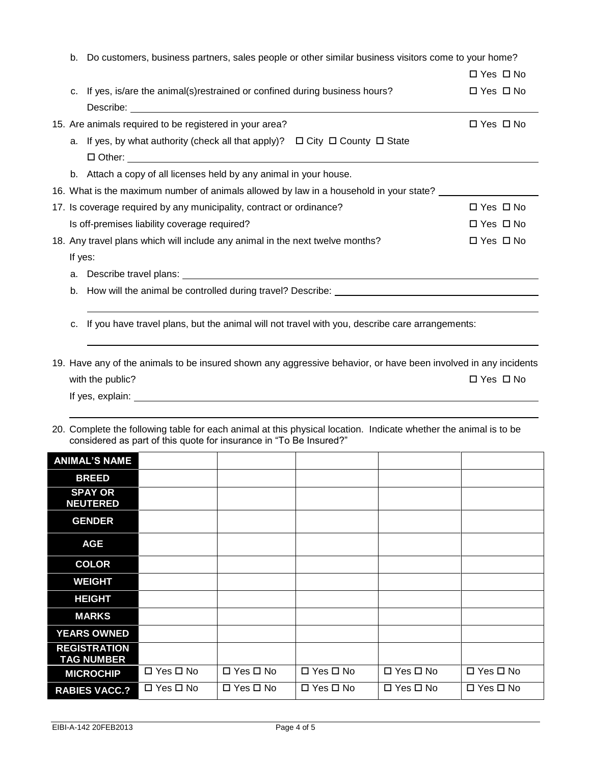| Do customers, business partners, sales people or other similar business visitors come to your home?<br>b. |                                                                                                                 |                      |  |  |  |
|-----------------------------------------------------------------------------------------------------------|-----------------------------------------------------------------------------------------------------------------|----------------------|--|--|--|
|                                                                                                           |                                                                                                                 | $\Box$ Yes $\Box$ No |  |  |  |
|                                                                                                           | c. If yes, is/are the animal(s) restrained or confined during business hours?                                   | $\Box$ Yes $\Box$ No |  |  |  |
|                                                                                                           |                                                                                                                 |                      |  |  |  |
|                                                                                                           | 15. Are animals required to be registered in your area?                                                         | $\Box$ Yes $\Box$ No |  |  |  |
|                                                                                                           | a. If yes, by what authority (check all that apply)? □ City □ County □ State                                    |                      |  |  |  |
|                                                                                                           |                                                                                                                 |                      |  |  |  |
|                                                                                                           | b. Attach a copy of all licenses held by any animal in your house.                                              |                      |  |  |  |
|                                                                                                           | 16. What is the maximum number of animals allowed by law in a household in your state?                          |                      |  |  |  |
|                                                                                                           | 17. Is coverage required by any municipality, contract or ordinance?                                            | $\Box$ Yes $\Box$ No |  |  |  |
|                                                                                                           | Is off-premises liability coverage required?                                                                    | $\Box$ Yes $\Box$ No |  |  |  |
|                                                                                                           | 18. Any travel plans which will include any animal in the next twelve months?                                   | $\Box$ Yes $\Box$ No |  |  |  |
| If yes:                                                                                                   |                                                                                                                 |                      |  |  |  |
|                                                                                                           |                                                                                                                 |                      |  |  |  |
|                                                                                                           |                                                                                                                 |                      |  |  |  |
|                                                                                                           |                                                                                                                 |                      |  |  |  |
| C.                                                                                                        | If you have travel plans, but the animal will not travel with you, describe care arrangements:                  |                      |  |  |  |
|                                                                                                           |                                                                                                                 |                      |  |  |  |
|                                                                                                           | 19. Have any of the animals to be insured shown any aggressive behavior, or have been involved in any incidents |                      |  |  |  |
|                                                                                                           | with the public?                                                                                                | $\Box$ Yes $\Box$ No |  |  |  |
|                                                                                                           |                                                                                                                 |                      |  |  |  |

- If yes, explain:
- 20. Complete the following table for each animal at this physical location. Indicate whether the animal is to be considered as part of this quote for insurance in "To Be Insured?"

| <b>ANIMAL'S NAME</b>                     |                      |                      |            |                      |                      |
|------------------------------------------|----------------------|----------------------|------------|----------------------|----------------------|
| <b>BREED</b>                             |                      |                      |            |                      |                      |
| <b>SPAY OR</b><br><b>NEUTERED</b>        |                      |                      |            |                      |                      |
| <b>GENDER</b>                            |                      |                      |            |                      |                      |
| <b>AGE</b>                               |                      |                      |            |                      |                      |
| <b>COLOR</b>                             |                      |                      |            |                      |                      |
| <b>WEIGHT</b>                            |                      |                      |            |                      |                      |
| <b>HEIGHT</b>                            |                      |                      |            |                      |                      |
| <b>MARKS</b>                             |                      |                      |            |                      |                      |
| <b>YEARS OWNED</b>                       |                      |                      |            |                      |                      |
| <b>REGISTRATION</b><br><b>TAG NUMBER</b> |                      |                      |            |                      |                      |
| <b>MICROCHIP</b>                         | □ Yes □ No           | $\Box$ Yes $\Box$ No | □ Yes □ No | $\Box$ Yes $\Box$ No | $\Box$ Yes $\Box$ No |
| <b>RABIES VACC.?</b>                     | $\Box$ Yes $\Box$ No | $\Box$ Yes $\Box$ No | □ Yes □ No | $\Box$ Yes $\Box$ No | $\Box$ Yes $\Box$ No |